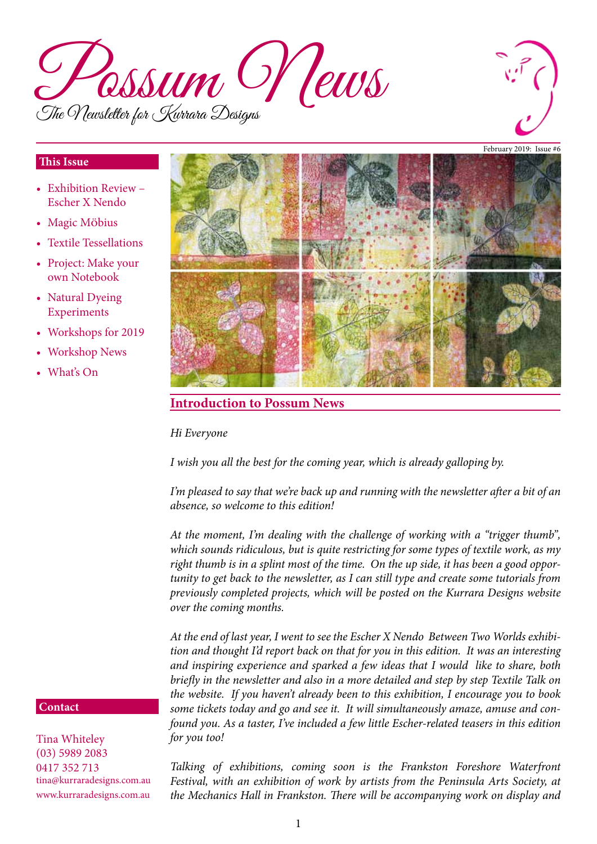



#### **This Issue**

- Exhibition Review Escher X Nendo
- Magic Möbius
- Textile Tessellations
- Project: Make your own Notebook
- Natural Dyeing Experiments
- • Workshops for 2019
- **Workshop News**
- What's On



### **Introduction to Possum News**

*Hi Everyone*

*I wish you all the best for the coming year, which is already galloping by.*

*I'm pleased to say that we're back up and running with the newsletter after a bit of an absence, so welcome to this edition!*

*At the moment, I'm dealing with the challenge of working with a "trigger thumb", which sounds ridiculous, but is quite restricting for some types of textile work, as my right thumb is in a splint most of the time. On the up side, it has been a good opportunity to get back to the newsletter, as I can still type and create some tutorials from previously completed projects, which will be posted on the Kurrara Designs website over the coming months.*

*At the end of last year, I went to see the Escher X Nendo Between Two Worlds exhibition and thought I'd report back on that for you in this edition. It was an interesting and inspiring experience and sparked a few ideas that I would like to share, both briefly in the newsletter and also in a more detailed and step by step Textile Talk on the website. If you haven't already been to this exhibition, I encourage you to book some tickets today and go and see it. It will simultaneously amaze, amuse and confound you. As a taster, I've included a few little Escher-related teasers in this edition for you too!*

**Contact**

Tina Whiteley (03) 5989 2083 0417 352 713 tina@kurraradesigns.com.au www.kurraradesigns.com.au

*Talking of exhibitions, coming soon is the Frankston Foreshore Waterfront Festival, with an exhibition of work by artists from the Peninsula Arts Society, at the Mechanics Hall in Frankston. There will be accompanying work on display and*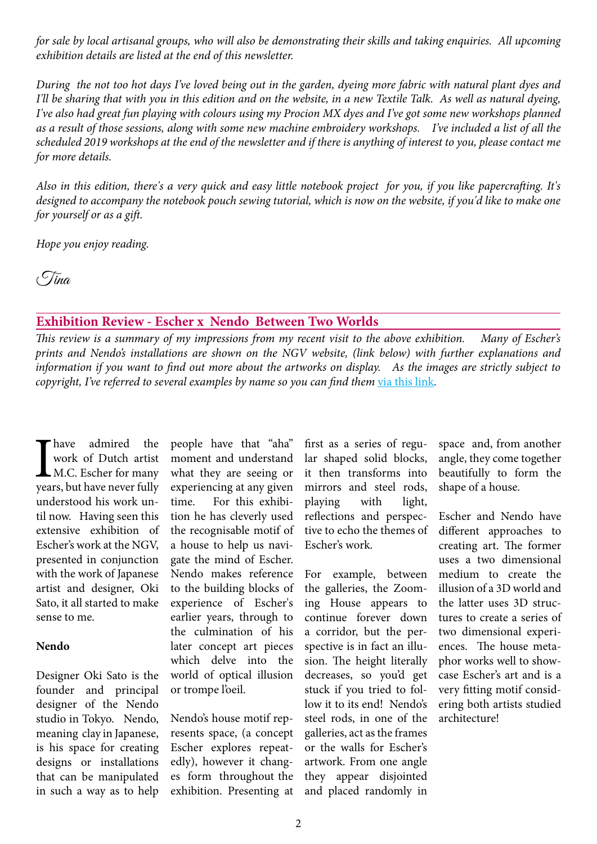*for sale by local artisanal groups, who will also be demonstrating their skills and taking enquiries. All upcoming exhibition details are listed at the end of this newsletter.*

*During the not too hot days I've loved being out in the garden, dyeing more fabric with natural plant dyes and I'll be sharing that with you in this edition and on the website, in a new Textile Talk. As well as natural dyeing, I've also had great fun playing with colours using my Procion MX dyes and I've got some new workshops planned as a result of those sessions, along with some new machine embroidery workshops. I've included a list of all the scheduled 2019 workshops at the end of the newsletter and if there is anything of interest to you, please contact me for more details.*

*Also in this edition, there's a very quick and easy little notebook project for you, if you like papercrafting. It's designed to accompany the notebook pouch sewing tutorial, which is now on the website, if you'd like to make one for yourself or as a gift.*

*Hope you enjoy reading.*

Tina

#### **Exhibition Review - Escher x Nendo Between Two Worlds**

*This review is a summary of my impressions from my recent visit to the above exhibition. Many of Escher's prints and Nendo's installations are shown on the NGV website, (link below) with further explanations and information if you want to find out more about the artworks on display. As the images are strictly subject to copyright, I've referred to several examples by name so you can find them via this [link](https://www.ngv.vic.gov.au/exhibition/escher-x-nendo-between-two-worlds/#artists).* 

I have admired the<br>work of Dutch artist<br>M.C. Escher for many<br>years, but have never fully have admired the work of Dutch artist M.C. Escher for many understood his work until now. Having seen this extensive exhibition of Escher's work at the NGV, presented in conjunction with the work of Japanese artist and designer, Oki Sato, it all started to make sense to me.

#### **Nendo**

Designer Oki Sato is the founder and principal designer of the Nendo studio in Tokyo. Nendo, meaning clay in Japanese, is his space for creating designs or installations that can be manipulated in such a way as to help people have that "aha" moment and understand what they are seeing or experiencing at any given time. For this exhibition he has cleverly used the recognisable motif of a house to help us navigate the mind of Escher. Nendo makes reference to the building blocks of experience of Escher's earlier years, through to the culmination of his later concept art pieces which delve into the world of optical illusion or trompe l'oeil.

Nendo's house motif represents space, (a concept Escher explores repeatedly), however it changes form throughout the exhibition. Presenting at

first as a series of regular shaped solid blocks, it then transforms into mirrors and steel rods, playing with light, reflections and perspective to echo the themes of Escher's work.

For example, between the galleries, the Zooming House appears to continue forever down a corridor, but the perspective is in fact an illusion. The height literally decreases, so you'd get stuck if you tried to follow it to its end! Nendo's steel rods, in one of the galleries, act as the frames or the walls for Escher's artwork. From one angle they appear disjointed and placed randomly in

space and, from another angle, they come together beautifully to form the shape of a house.

Escher and Nendo have different approaches to creating art. The former uses a two dimensional medium to create the illusion of a 3D world and the latter uses 3D structures to create a series of two dimensional experiences. The house metaphor works well to showcase Escher's art and is a very fitting motif considering both artists studied architecture!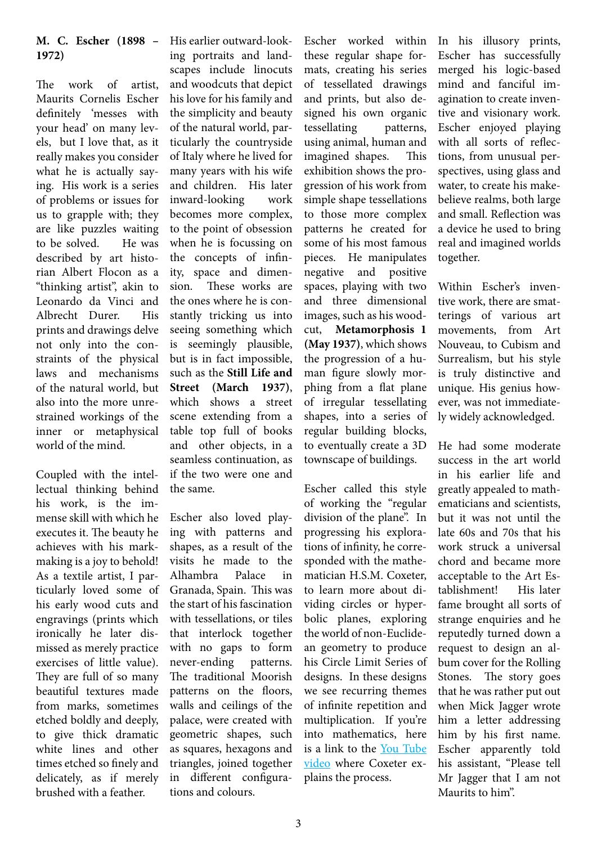#### **M. C. Escher (1898 – 1972)**

The work of artist, Maurits Cornelis Escher definitely 'messes with your head' on many levels, but I love that, as it really makes you consider what he is actually saying. His work is a series of problems or issues for us to grapple with; they are like puzzles waiting to be solved. He was described by art historian Albert Flocon as a "thinking artist", akin to Leonardo da Vinci and Albrecht Durer. His prints and drawings delve not only into the constraints of the physical laws and mechanisms of the natural world, but also into the more unrestrained workings of the inner or metaphysical world of the mind.

Coupled with the intellectual thinking behind his work, is the immense skill with which he executes it. The beauty he achieves with his markmaking is a joy to behold! As a textile artist, I particularly loved some of his early wood cuts and engravings (prints which ironically he later dismissed as merely practice exercises of little value). They are full of so many beautiful textures made from marks, sometimes etched boldly and deeply, to give thick dramatic white lines and other times etched so finely and delicately, as if merely brushed with a feather.

His earlier outward-looking portraits and landscapes include linocuts and woodcuts that depict his love for his family and the simplicity and beauty of the natural world, particularly the countryside of Italy where he lived for many years with his wife and children. His later inward-looking work becomes more complex, to the point of obsession when he is focussing on the concepts of infinity, space and dimension. These works are the ones where he is constantly tricking us into seeing something which is seemingly plausible, but is in fact impossible, such as the **Still Life and Street (March 1937)**, which shows a street scene extending from a table top full of books and other objects, in a seamless continuation, as if the two were one and the same.

Escher also loved playing with patterns and shapes, as a result of the visits he made to the Alhambra Palace in Granada, Spain. This was the start of his fascination with tessellations, or tiles that interlock together with no gaps to form never-ending patterns. The traditional Moorish patterns on the floors, walls and ceilings of the palace, were created with geometric shapes, such as squares, hexagons and triangles, joined together in different configurations and colours.

Escher worked within these regular shape formats, creating his series of tessellated drawings and prints, but also designed his own organic tessellating patterns, using animal, human and imagined shapes. This exhibition shows the progression of his work from simple shape tessellations to those more complex patterns he created for some of his most famous pieces. He manipulates negative and positive spaces, playing with two and three dimensional images, such as his woodcut, **Metamorphosis 1 (May 1937)**, which shows the progression of a human figure slowly morphing from a flat plane of irregular tessellating shapes, into a series of regular building blocks, to eventually create a 3D townscape of buildings.

Escher called this style of working the "regular division of the plane". In progressing his explorations of infinity, he corresponded with the mathematician H.S.M. Coxeter, to learn more about dividing circles or hyperbolic planes, exploring the world of non-Euclidean geometry to produce his Circle Limit Series of designs. In these designs we see recurring themes of infinite repetition and multiplication. If you're into mathematics, here is a link to the You [Tube](https://www.youtube.com/watch?v=JkhuMvFQWz4) [video](https://www.youtube.com/watch?v=JkhuMvFQWz4) where Coxeter explains the process.

In his illusory prints, Escher has successfully merged his logic-based mind and fanciful imagination to create inventive and visionary work. Escher enjoyed playing with all sorts of reflections, from unusual perspectives, using glass and water, to create his makebelieve realms, both large and small. Reflection was a device he used to bring real and imagined worlds together.

Within Escher's inventive work, there are smatterings of various art movements, from Art Nouveau, to Cubism and Surrealism, but his style is truly distinctive and unique. His genius however, was not immediately widely acknowledged.

He had some moderate success in the art world in his earlier life and greatly appealed to mathematicians and scientists, but it was not until the late 60s and 70s that his work struck a universal chord and became more acceptable to the Art Establishment! His later fame brought all sorts of strange enquiries and he reputedly turned down a request to design an album cover for the Rolling Stones. The story goes that he was rather put out when Mick Jagger wrote him a letter addressing him by his first name. Escher apparently told his assistant, "Please tell Mr Jagger that I am not Maurits to him".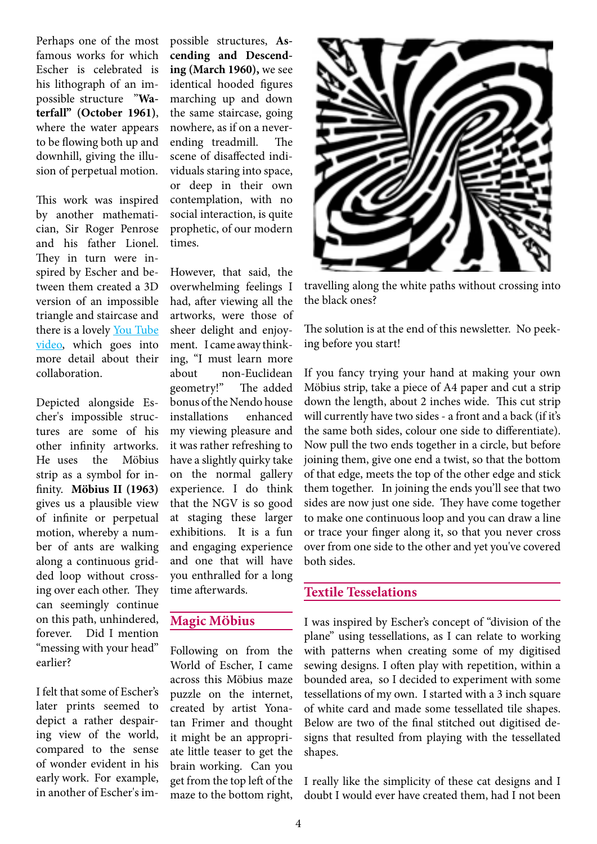Perhaps one of the most famous works for which Escher is celebrated is his lithograph of an impossible structure "**Waterfall" (October 1961)**, where the water appears to be flowing both up and downhill, giving the illusion of perpetual motion.

This work was inspired by another mathematician, Sir Roger Penrose and his father Lionel. They in turn were inspired by Escher and between them created a 3D version of an impossible triangle and staircase and there is a lovely You [Tube](https://www.youtube.com/watch?v=f7kW8xd8p4s) [video](https://www.youtube.com/watch?v=f7kW8xd8p4s), which goes into more detail about their collaboration.

Depicted alongside Escher's impossible structures are some of his other infinity artworks. He uses the Möbius strip as a symbol for infinity. **Möbius II (1963)** gives us a plausible view of infinite or perpetual motion, whereby a number of ants are walking along a continuous gridded loop without crossing over each other. They can seemingly continue on this path, unhindered, forever. Did I mention "messing with your head" earlier?

I felt that some of Escher's later prints seemed to depict a rather despairing view of the world, compared to the sense of wonder evident in his early work. For example, in another of Escher's impossible structures, **Ascending and Descending (March 1960),** we see identical hooded figures marching up and down the same staircase, going nowhere, as if on a neverending treadmill. The scene of disaffected individuals staring into space, or deep in their own contemplation, with no social interaction, is quite prophetic, of our modern times.

However, that said, the overwhelming feelings I had, after viewing all the artworks, were those of sheer delight and enjoyment. I came away thinking, "I must learn more about non-Euclidean geometry!" The added bonus of the Nendo house installations enhanced my viewing pleasure and it was rather refreshing to have a slightly quirky take on the normal gallery experience. I do think that the NGV is so good at staging these larger exhibitions. It is a fun and engaging experience and one that will have you enthralled for a long time afterwards.

#### **Magic MÖbius**

Following on from the World of Escher, I came across this Möbius maze puzzle on the internet, created by artist Yonatan Frimer and thought it might be an appropriate little teaser to get the brain working. Can you get from the top left of the maze to the bottom right,



travelling along the white paths without crossing into the black ones?

The solution is at the end of this newsletter. No peeking before you start!

If you fancy trying your hand at making your own Möbius strip, take a piece of A4 paper and cut a strip down the length, about 2 inches wide. This cut strip will currently have two sides - a front and a back (if it's the same both sides, colour one side to differentiate). Now pull the two ends together in a circle, but before joining them, give one end a twist, so that the bottom of that edge, meets the top of the other edge and stick them together. In joining the ends you'll see that two sides are now just one side. They have come together to make one continuous loop and you can draw a line or trace your finger along it, so that you never cross over from one side to the other and yet you've covered both sides.

#### **Textile Tesselations**

I was inspired by Escher's concept of "division of the plane" using tessellations, as I can relate to working with patterns when creating some of my digitised sewing designs. I often play with repetition, within a bounded area, so I decided to experiment with some tessellations of my own. I started with a 3 inch square of white card and made some tessellated tile shapes. Below are two of the final stitched out digitised designs that resulted from playing with the tessellated shapes.

I really like the simplicity of these cat designs and I doubt I would ever have created them, had I not been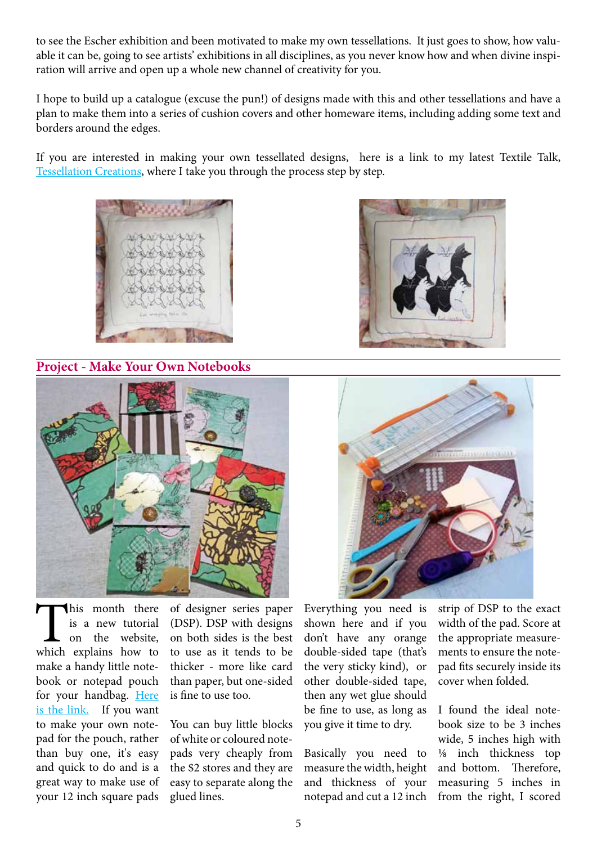to see the Escher exhibition and been motivated to make my own tessellations. It just goes to show, how valuable it can be, going to see artists' exhibitions in all disciplines, as you never know how and when divine inspiration will arrive and open up a whole new channel of creativity for you.

I hope to build up a catalogue (excuse the pun!) of designs made with this and other tessellations and have a plan to make them into a series of cushion covers and other homeware items, including adding some text and borders around the edges.

If you are interested in making your own tessellated designs, here is a link to my latest Textile Talk, [Tessellation](http://www.kurraradesigns.com.au/textile%20talk.html) Creations, where I take you through the process step by step.



**Project - Make Your Own Notebooks**





This month there<br>is a new tutorial<br>on the website,<br>which explains how to is a new tutorial on the website, make a handy little notebook or notepad pouch for your handbag. [Here](http://www.kurraradesigns.com.au/Documents/Tutorial%207_Notebook%20Pouches.pdf) is the [link.](http://www.kurraradesigns.com.au/Documents/Tutorial%207_Notebook%20Pouches.pdf) If you want to make your own notepad for the pouch, rather than buy one, it's easy and quick to do and is a great way to make use of your 12 inch square pads

of designer series paper (DSP). DSP with designs on both sides is the best to use as it tends to be thicker - more like card than paper, but one-sided is fine to use too.

You can buy little blocks ofwhite or coloured notepads very cheaply from the \$2 stores and they are easy to separate along the glued lines.

Everything you need is shown here and if you don't have any orange double-sided tape (that's the very sticky kind), or other double-sided tape, then any wet glue should be fine to use, as long as you give it time to dry.

Basically you need to measure thewidth, height and thickness of your notepad and cut a 12 inch strip of DSP to the exact width of the pad. Score at the appropriate measurements to ensure the notepad fits securely inside its cover when folded.

I found the ideal notebook size to be 3 inches wide, 5 inches high with ⅛ inch thickness top and bottom. Therefore, measuring 5 inches in from the right, I scored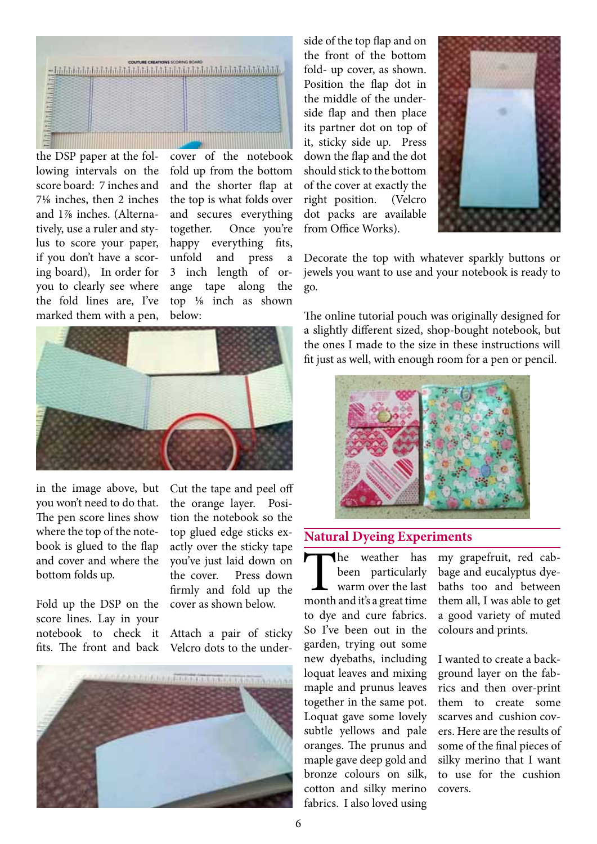

the DSP paper at the following intervals on the score board: 7 inches and 7⅛ inches, then 2 inches and 1⅞ inches. (Alternatively, use a ruler and stylus to score your paper, if you don't have a scoring board), In order for you to clearly see where the fold lines are, I've marked them with a pen,

cover of the notebook fold up from the bottom and the shorter flap at the top is what folds over and secures everything together. Once you're happy everything fits, unfold and press a 3 inch length of orange tape along the top ⅛ inch as shown below:



in the image above, but you won't need to do that. The pen score lines show where the top of the notebook is glued to the flap and cover and where the bottom folds up.

Fold up the DSP on the score lines. Lay in your notebook to check it fits. The front and back

Cut the tape and peel off the orange layer. Position the notebook so the top glued edge sticks exactly over the sticky tape you've just laid down on the cover. Press down firmly and fold up the cover as shown below.

Attach a pair of sticky Velcro dots to the under-



side of the top flap and on the front of the bottom fold- up cover, as shown. Position the flap dot in the middle of the underside flap and then place its partner dot on top of it, sticky side up. Press down the flap and the dot should stick to the bottom of the cover at exactly the right position. (Velcro dot packs are available from Office Works).



Decorate the top with whatever sparkly buttons or jewels you want to use and your notebook is ready to go.

The online tutorial pouch was originally designed for a slightly different sized, shop-bought notebook, but the ones I made to the size in these instructions will fit just as well, with enough room for a pen or pencil.



#### **Natural Dyeing Experiments**

The weather has<br>been particularly<br>warm over the last<br>month and it's a great time been particularly warm over the last to dye and cure fabrics. So I've been out in the garden, trying out some new dyebaths, including loquat leaves and mixing maple and prunus leaves together in the same pot. Loquat gave some lovely subtle yellows and pale oranges. The prunus and maple gave deep gold and bronze colours on silk, cotton and silky merino fabrics. I also loved using

my grapefruit, red cabbage and eucalyptus dyebaths too and between them all, I was able to get a good variety of muted colours and prints.

I wanted to create a background layer on the fabrics and then over-print them to create some scarves and cushion covers. Here are the results of some of the final pieces of silky merino that I want to use for the cushion covers.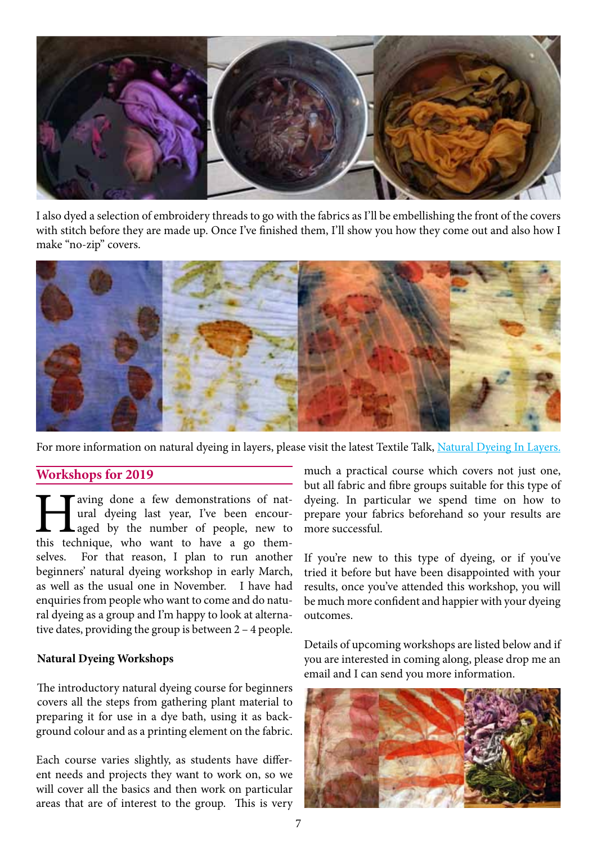

I also dyed a selection of embroidery threads to go with the fabrics as I'll be embellishing the front of the covers with stitch before they are made up. Once I've finished them, I'll show you how they come out and also how I make "no-zip" covers.



For more information on natural dyeing in layers, please visit the latest Textile Talk, [Natural](http://www.kurraradesigns.com.au/textile%20talk.html) Dyeing In Layers.

#### **Workshops for 2019**

Taving done a few demonstrations of nat-<br>ural dyeing last year, I've been encour-<br>aged by the number of people, new to<br>this technique, who want to have a go themural dyeing last year, I've been encouraged by the number of people, new to selves. For that reason, I plan to run another beginners' natural dyeing workshop in early March, as well as the usual one in November. I have had enquiries from people who want to come and do natural dyeing as a group and I'm happy to look at alternative dates, providing the group is between 2 – 4 people.

#### **Natural Dyeing Workshops**

The introductory natural dyeing course for beginners covers all the steps from gathering plant material to preparing it for use in a dye bath, using it as background colour and as a printing element on the fabric.

Each course varies slightly, as students have different needs and projects they want to work on, so we will cover all the basics and then work on particular areas that are of interest to the group. This is very

much a practical course which covers not just one, but all fabric and fibre groups suitable for this type of dyeing. In particular we spend time on how to prepare your fabrics beforehand so your results are more successful.

If you're new to this type of dyeing, or if you've tried it before but have been disappointed with your results, once you've attended this workshop, you will be much more confident and happier with your dyeing outcomes.

Details of upcoming workshops are listed below and if you are interested in coming along, please drop me an email and I can send you more information.

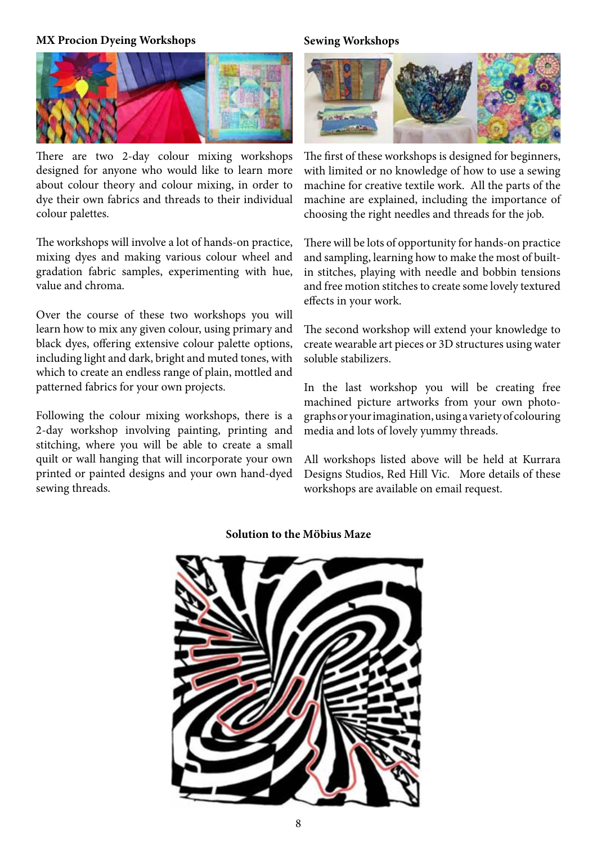#### **MX Procion Dyeing Workshops**



There are two 2-day colour mixing workshops designed for anyone who would like to learn more about colour theory and colour mixing, in order to dye their own fabrics and threads to their individual colour palettes.

The workshops will involve a lot of hands-on practice, mixing dyes and making various colour wheel and gradation fabric samples, experimenting with hue, value and chroma.

Over the course of these two workshops you will learn how to mix any given colour, using primary and black dyes, offering extensive colour palette options, including light and dark, bright and muted tones, with which to create an endless range of plain, mottled and patterned fabrics for your own projects.

Following the colour mixing workshops, there is a 2-day workshop involving painting, printing and stitching, where you will be able to create a small quilt or wall hanging that will incorporate your own printed or painted designs and your own hand-dyed sewing threads.

#### **Sewing Workshops**



The first of these workshops is designed for beginners, with limited or no knowledge of how to use a sewing machine for creative textile work. All the parts of the machine are explained, including the importance of choosing the right needles and threads for the job.

There will be lots of opportunity for hands-on practice and sampling, learning how to make the most of builtin stitches, playing with needle and bobbin tensions and free motion stitches to create some lovely textured effects in your work.

The second workshop will extend your knowledge to create wearable art pieces or 3D structures using water soluble stabilizers.

In the last workshop you will be creating free machined picture artworks from your own photographsoryourimagination,usingavarietyof colouring media and lots of lovely yummy threads.

All workshops listed above will be held at Kurrara Designs Studios, Red Hill Vic. More details of these workshops are available on email request.

#### **Solution to the MÖbius Maze**